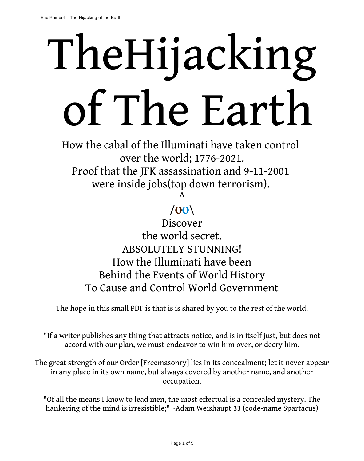## TheHijacking of The Earth

How the cabal of the Illuminati have taken control over the world; 1776-2021. Proof that the JFK assassination and 9-11-2001 were inside jobs(top down terrorism).

> $\wedge$ /**OO**\

Discover the world secret. ABSOLUTELY STUNNING! How the Illuminati have been Behind the Events of World History To Cause and Control World Government

The hope in this small PDF is that is is shared by you to the rest of the world.

"If a writer publishes any thing that attracts notice, and is in itself just, but does not accord with our plan, we must endeavor to win him over, or decry him.

The great strength of our Order [Freemasonry] lies in its concealment; let it never appear in any place in its own name, but always covered by another name, and another occupation.

"Of all the means I know to lead men, the most effectual is a concealed mystery. The hankering of the mind is irresistible;" ~Adam Weishaupt 33 (code-name Spartacus)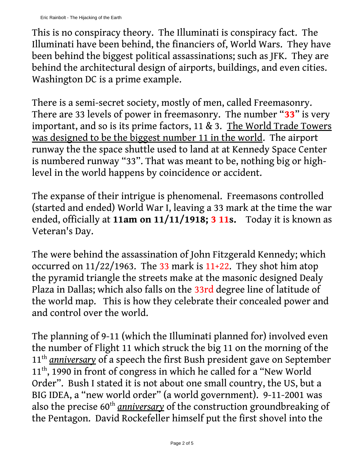This is no conspiracy theory. The Illuminati is conspiracy fact. The Illuminati have been behind, the financiers of, World Wars. They have been behind the biggest political assassinations; such as JFK. They are behind the architectural design of airports, buildings, and even cities. Washington DC is a prime example.

There is a semi-secret society, mostly of men, called Freemasonry. There are 33 levels of power in freemasonry. The number "**33**" is very important, and so is its prime factors, 11 & 3. The World Trade Towers was designed to be the biggest number 11 in the world. The airport runway the the space shuttle used to land at at Kennedy Space Center is numbered runway "33". That was meant to be, nothing big or highlevel in the world happens by coincidence or accident.

The expanse of their intrigue is phenomenal. Freemasons controlled (started and ended) World War I, leaving a 33 mark at the time the war ended, officially at **11am on 11/11/1918; 3 11s.** Today it is known as Veteran's Day.

The were behind the assassination of John Fitzgerald Kennedy; which occurred on  $11/22/1963$ . The 33 mark is  $11+22$ . They shot him atop the pyramid triangle the streets make at the masonic designed Dealy Plaza in Dallas; which also falls on the 33rd degree line of latitude of the world map. This is how they celebrate their concealed power and and control over the world.

The planning of 9-11 (which the Illuminati planned for) involved even the number of Flight 11 which struck the big 11 on the morning of the 11<sup>th</sup> *anniversary* of a speech the first Bush president gave on September 11<sup>th</sup>, 1990 in front of congress in which he called for a "New World Order". Bush I stated it is not about one small country, the US, but a BIG IDEA, a "new world order" (a world government). 9-11-2001 was also the precise 60<sup>th</sup> *anniversary* of the construction groundbreaking of the Pentagon. David Rockefeller himself put the first shovel into the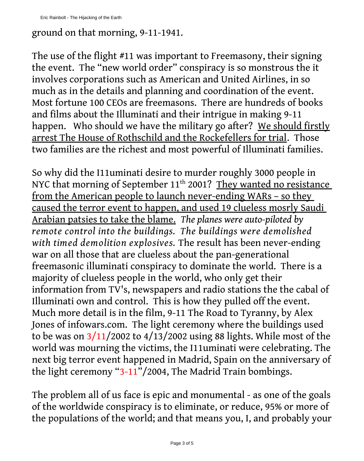## ground on that morning, 9-11-1941.

The use of the flight #11 was important to Freemasony, their signing the event. The "new world order" conspiracy is so monstrous the it involves corporations such as American and United Airlines, in so much as in the details and planning and coordination of the event. Most fortune 100 CEOs are freemasons. There are hundreds of books and films about the Illuminati and their intrigue in making 9-11 happen. Who should we have the military go after? We should firstly arrest The House of Rothschild and the Rockefellers for trial. Those two families are the richest and most powerful of Illuminati families.

So why did the I11uminati desire to murder roughly 3000 people in NYC that morning of September 11<sup>th</sup> 2001? They wanted no resistance from the American people to launch never-ending WARs - so they caused the terror event to happen, and used 19 clueless mosrly Saudi Arabian patsies to take the blame. *The planes were auto-piloted by remote control into the buildings. The buildings were demolished with timed demolition explosives.* The result has been never-ending war on all those that are clueless about the pan-generational freemasonic illuminati conspiracy to dominate the world. There is a majority of clueless people in the world, who only get their information from TV's, newspapers and radio stations the the cabal of Illuminati own and control. This is how they pulled off the event. Much more detail is in the film, 9-11 The Road to Tyranny, by Alex Jones of infowars.com. The light ceremony where the buildings used to be was on  $3/11/2002$  to  $4/13/2002$  using 88 lights. While most of the world was mourning the victims, the I11uminati were celebrating. The next big terror event happened in Madrid, Spain on the anniversary of the light ceremony "3-11"/2004, The Madrid Train bombings.

The problem all of us face is epic and monumental - as one of the goals of the worldwide conspiracy is to eliminate, or reduce, 95% or more of the populations of the world; and that means you, I, and probably your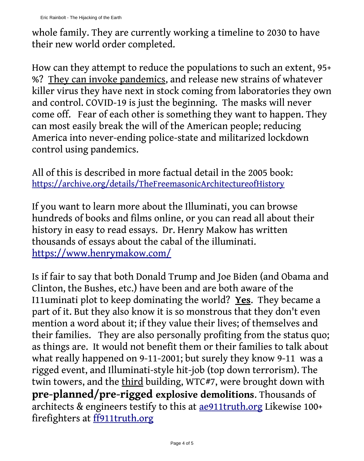whole family. They are currently working a timeline to 2030 to have their new world order completed.

How can they attempt to reduce the populations to such an extent, 95+ %? They can invoke pandemics, and release new strains of whatever killer virus they have next in stock coming from laboratories they own and control. COVID-19 is just the beginning. The masks will never come off. Fear of each other is something they want to happen. They can most easily break the will of the American people; reducing America into never-ending police-state and militarized lockdown control using pandemics.

All of this is described in more factual detail in the 2005 book: [https://archive.org/details/TheFreemasonicArchitectureofHistory](https://archive.org/details/TheFreemasonicArchitectureofHistory/page/n1/mode/2up)

If you want to learn more about the Illuminati, you can browse hundreds of books and films online, or you can read all about their history in easy to read essays. Dr. Henry Makow has written thousands of essays about the cabal of the illuminati. <https://www.henrymakow.com/>

Is if fair to say that both Donald Trump and Joe Biden (and Obama and Clinton, the Bushes, etc.) have been and are both aware of the I11uminati plot to keep dominating the world? **Yes**. They became a part of it. But they also know it is so monstrous that they don't even mention a word about it; if they value their lives; of themselves and their families. They are also personally profiting from the status quo; as things are. It would not benefit them or their families to talk about what really happened on 9-11-2001; but surely they know 9-11 was a rigged event, and Illuminati-style hit-job (top down terrorism). The twin towers, and the third building, WTC#7, were brought down with **pre-planned/pre-rigged explosive demolitions**. Thousands of architects & engineers testify to this at [ae911truth.org](http://www.ae911truth.org/) Likewise 100+ firefighters at **ff911truth.org**